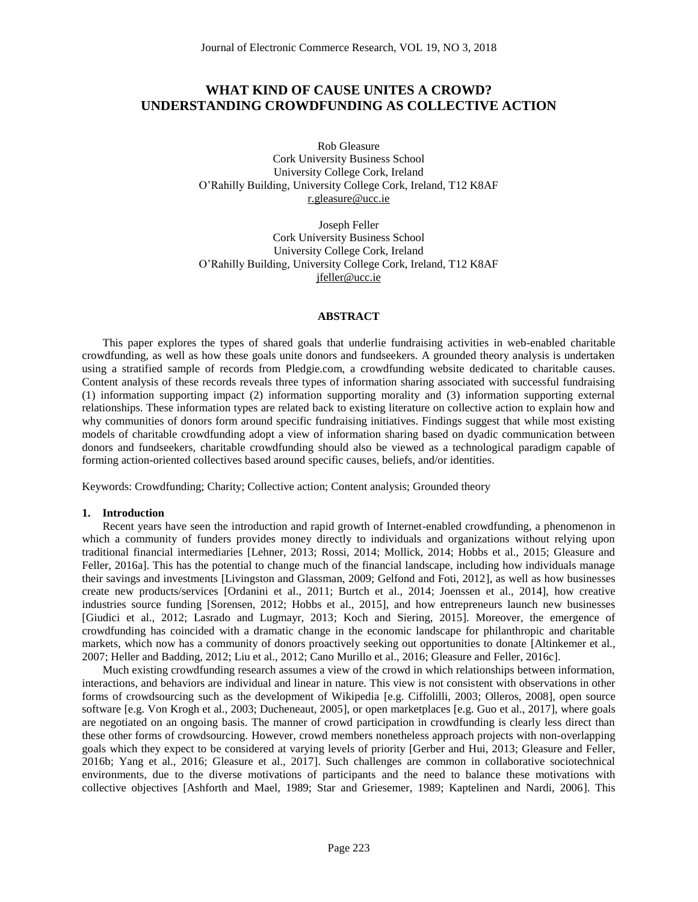# **WHAT KIND OF CAUSE UNITES A CROWD? UNDERSTANDING CROWDFUNDING AS COLLECTIVE ACTION**

Rob Gleasure Cork University Business School University College Cork, Ireland O'Rahilly Building, University College Cork, Ireland, T12 K8AF r.gleasure@ucc.ie

Joseph Feller Cork University Business School University College Cork, Ireland O'Rahilly Building, University College Cork, Ireland, T12 K8AF jfeller@ucc.ie

#### **ABSTRACT**

This paper explores the types of shared goals that underlie fundraising activities in web-enabled charitable crowdfunding, as well as how these goals unite donors and fundseekers. A grounded theory analysis is undertaken using a stratified sample of records from Pledgie.com, a crowdfunding website dedicated to charitable causes. Content analysis of these records reveals three types of information sharing associated with successful fundraising (1) information supporting impact (2) information supporting morality and (3) information supporting external relationships. These information types are related back to existing literature on collective action to explain how and why communities of donors form around specific fundraising initiatives. Findings suggest that while most existing models of charitable crowdfunding adopt a view of information sharing based on dyadic communication between donors and fundseekers, charitable crowdfunding should also be viewed as a technological paradigm capable of forming action-oriented collectives based around specific causes, beliefs, and/or identities.

Keywords: Crowdfunding; Charity; Collective action; Content analysis; Grounded theory

#### **1. Introduction**

Recent years have seen the introduction and rapid growth of Internet-enabled crowdfunding, a phenomenon in which a community of funders provides money directly to individuals and organizations without relying upon traditional financial intermediaries [Lehner, 2013; Rossi, 2014; Mollick, 2014; Hobbs et al., 2015; Gleasure and Feller, 2016a]. This has the potential to change much of the financial landscape, including how individuals manage their savings and investments [Livingston and Glassman, 2009; Gelfond and Foti, 2012], as well as how businesses create new products/services [Ordanini et al., 2011; Burtch et al., 2014; Joenssen et al., 2014], how creative industries source funding [Sorensen, 2012; Hobbs et al., 2015], and how entrepreneurs launch new businesses [Giudici et al., 2012; Lasrado and Lugmayr, 2013; Koch and Siering, 2015]. Moreover, the emergence of crowdfunding has coincided with a dramatic change in the economic landscape for philanthropic and charitable markets, which now has a community of donors proactively seeking out opportunities to donate [Altinkemer et al., 2007; Heller and Badding, 2012; Liu et al., 2012; Cano Murillo et al., 2016; Gleasure and Feller, 2016c].

Much existing crowdfunding research assumes a view of the crowd in which relationships between information, interactions, and behaviors are individual and linear in nature. This view is not consistent with observations in other forms of crowdsourcing such as the development of Wikipedia [e.g. Ciffolilli, 2003; Olleros, 2008], open source software [e.g. Von Krogh et al., 2003; Ducheneaut, 2005], or open marketplaces [e.g. Guo et al., 2017], where goals are negotiated on an ongoing basis. The manner of crowd participation in crowdfunding is clearly less direct than these other forms of crowdsourcing. However, crowd members nonetheless approach projects with non-overlapping goals which they expect to be considered at varying levels of priority [Gerber and Hui, 2013; Gleasure and Feller, 2016b; Yang et al., 2016; Gleasure et al., 2017]. Such challenges are common in collaborative sociotechnical environments, due to the diverse motivations of participants and the need to balance these motivations with collective objectives [Ashforth and Mael, 1989; Star and Griesemer, 1989; Kaptelinen and Nardi, 2006]. This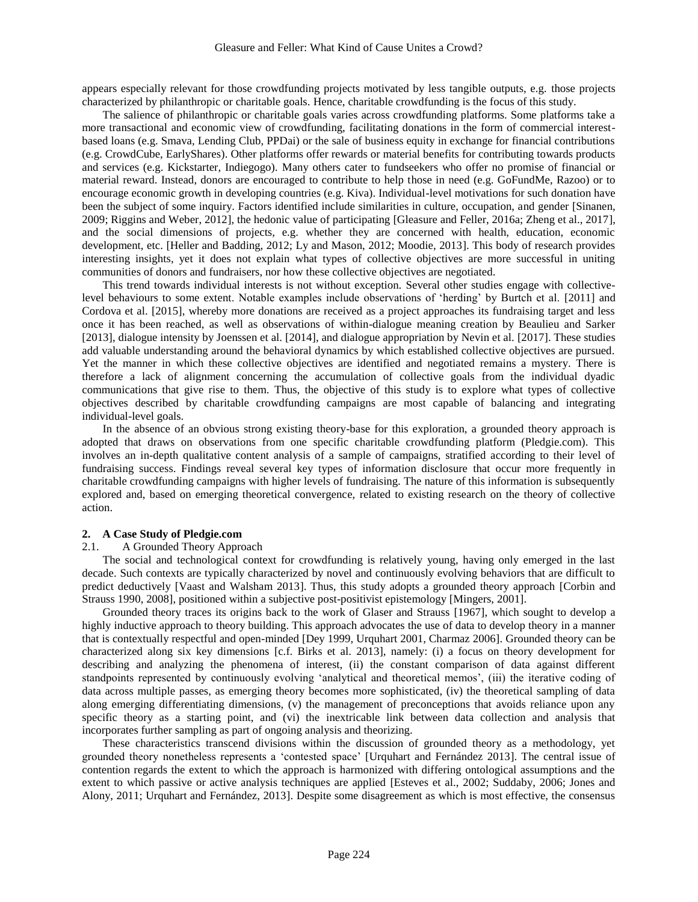appears especially relevant for those crowdfunding projects motivated by less tangible outputs, e.g. those projects characterized by philanthropic or charitable goals. Hence, charitable crowdfunding is the focus of this study.

The salience of philanthropic or charitable goals varies across crowdfunding platforms. Some platforms take a more transactional and economic view of crowdfunding, facilitating donations in the form of commercial interestbased loans (e.g. Smava, Lending Club, PPDai) or the sale of business equity in exchange for financial contributions (e.g. CrowdCube, EarlyShares). Other platforms offer rewards or material benefits for contributing towards products and services (e.g. Kickstarter, Indiegogo). Many others cater to fundseekers who offer no promise of financial or material reward. Instead, donors are encouraged to contribute to help those in need (e.g. GoFundMe, Razoo) or to encourage economic growth in developing countries (e.g. Kiva). Individual-level motivations for such donation have been the subject of some inquiry. Factors identified include similarities in culture, occupation, and gender [Sinanen, 2009; Riggins and Weber, 2012], the hedonic value of participating [Gleasure and Feller, 2016a; Zheng et al., 2017], and the social dimensions of projects, e.g. whether they are concerned with health, education, economic development, etc. [Heller and Badding, 2012; Ly and Mason, 2012; Moodie, 2013]. This body of research provides interesting insights, yet it does not explain what types of collective objectives are more successful in uniting communities of donors and fundraisers, nor how these collective objectives are negotiated.

This trend towards individual interests is not without exception. Several other studies engage with collectivelevel behaviours to some extent. Notable examples include observations of 'herding' by Burtch et al. [2011] and Cordova et al. [2015], whereby more donations are received as a project approaches its fundraising target and less once it has been reached, as well as observations of within-dialogue meaning creation by Beaulieu and Sarker [2013], dialogue intensity by Joenssen et al. [2014], and dialogue appropriation by Nevin et al. [2017]. These studies add valuable understanding around the behavioral dynamics by which established collective objectives are pursued. Yet the manner in which these collective objectives are identified and negotiated remains a mystery. There is therefore a lack of alignment concerning the accumulation of collective goals from the individual dyadic communications that give rise to them. Thus, the objective of this study is to explore what types of collective objectives described by charitable crowdfunding campaigns are most capable of balancing and integrating individual-level goals.

In the absence of an obvious strong existing theory-base for this exploration, a grounded theory approach is adopted that draws on observations from one specific charitable crowdfunding platform (Pledgie.com). This involves an in-depth qualitative content analysis of a sample of campaigns, stratified according to their level of fundraising success. Findings reveal several key types of information disclosure that occur more frequently in charitable crowdfunding campaigns with higher levels of fundraising. The nature of this information is subsequently explored and, based on emerging theoretical convergence, related to existing research on the theory of collective action.

#### **2. A Case Study of Pledgie.com**

#### 2.1. A Grounded Theory Approach

The social and technological context for crowdfunding is relatively young, having only emerged in the last decade. Such contexts are typically characterized by novel and continuously evolving behaviors that are difficult to predict deductively [Vaast and Walsham 2013]. Thus, this study adopts a grounded theory approach [Corbin and Strauss 1990, 2008], positioned within a subjective post-positivist epistemology [Mingers, 2001].

Grounded theory traces its origins back to the work of Glaser and Strauss [1967], which sought to develop a highly inductive approach to theory building. This approach advocates the use of data to develop theory in a manner that is contextually respectful and open-minded [Dey 1999, Urquhart 2001, Charmaz 2006]. Grounded theory can be characterized along six key dimensions [c.f. Birks et al. 2013], namely: (i) a focus on theory development for describing and analyzing the phenomena of interest, (ii) the constant comparison of data against different standpoints represented by continuously evolving 'analytical and theoretical memos', (iii) the iterative coding of data across multiple passes, as emerging theory becomes more sophisticated, (iv) the theoretical sampling of data along emerging differentiating dimensions, (v) the management of preconceptions that avoids reliance upon any specific theory as a starting point, and (vi) the inextricable link between data collection and analysis that incorporates further sampling as part of ongoing analysis and theorizing.

These characteristics transcend divisions within the discussion of grounded theory as a methodology, yet grounded theory nonetheless represents a 'contested space' [Urquhart and Fernández 2013]. The central issue of contention regards the extent to which the approach is harmonized with differing ontological assumptions and the extent to which passive or active analysis techniques are applied [Esteves et al., 2002; Suddaby, 2006; Jones and Alony, 2011; Urquhart and Fernández, 2013]. Despite some disagreement as which is most effective, the consensus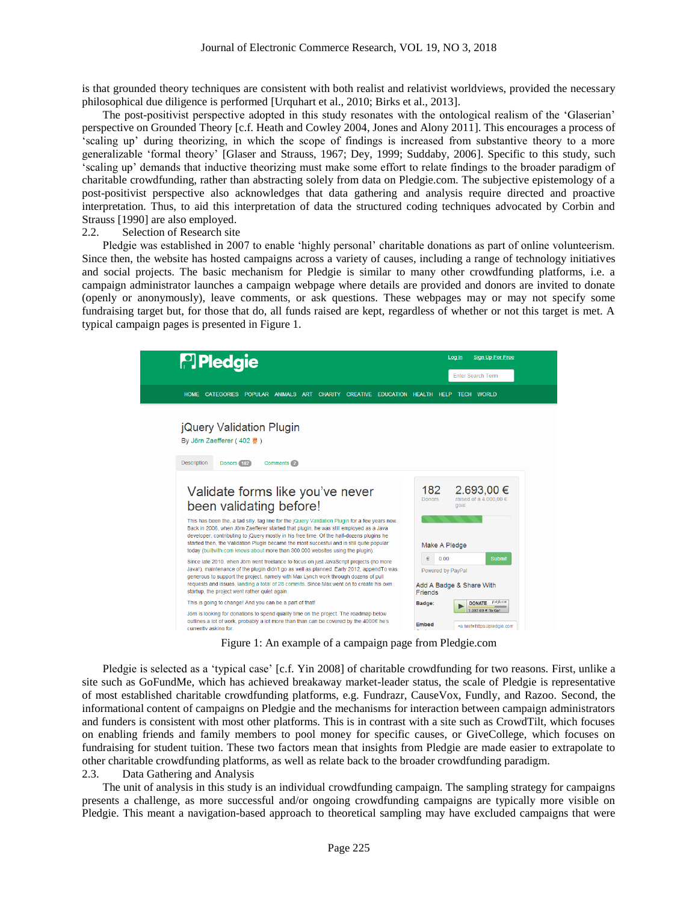is that grounded theory techniques are consistent with both realist and relativist worldviews, provided the necessary philosophical due diligence is performed [Urquhart et al., 2010; Birks et al., 2013].

The post-positivist perspective adopted in this study resonates with the ontological realism of the 'Glaserian' perspective on Grounded Theory [c.f. Heath and Cowley 2004, Jones and Alony 2011]. This encourages a process of 'scaling up' during theorizing, in which the scope of findings is increased from substantive theory to a more generalizable 'formal theory' [Glaser and Strauss, 1967; Dey, 1999; Suddaby, 2006]. Specific to this study, such 'scaling up' demands that inductive theorizing must make some effort to relate findings to the broader paradigm of charitable crowdfunding, rather than abstracting solely from data on Pledgie.com. The subjective epistemology of a post-positivist perspective also acknowledges that data gathering and analysis require directed and proactive interpretation. Thus, to aid this interpretation of data the structured coding techniques advocated by Corbin and Strauss [1990] are also employed.

#### 2.2. Selection of Research site

Pledgie was established in 2007 to enable 'highly personal' charitable donations as part of online volunteerism. Since then, the website has hosted campaigns across a variety of causes, including a range of technology initiatives and social projects. The basic mechanism for Pledgie is similar to many other crowdfunding platforms, i.e. a campaign administrator launches a campaign webpage where details are provided and donors are invited to donate (openly or anonymously), leave comments, or ask questions. These webpages may or may not specify some fundraising target but, for those that do, all funds raised are kept, regardless of whether or not this target is met. A typical campaign pages is presented in Figure 1.



Figure 1: An example of a campaign page from Pledgie.com

Pledgie is selected as a 'typical case' [c.f. Yin 2008] of charitable crowdfunding for two reasons. First, unlike a site such as GoFundMe, which has achieved breakaway market-leader status, the scale of Pledgie is representative of most established charitable crowdfunding platforms, e.g. Fundrazr, CauseVox, Fundly, and Razoo. Second, the informational content of campaigns on Pledgie and the mechanisms for interaction between campaign administrators and funders is consistent with most other platforms. This is in contrast with a site such as CrowdTilt, which focuses on enabling friends and family members to pool money for specific causes, or GiveCollege, which focuses on fundraising for student tuition. These two factors mean that insights from Pledgie are made easier to extrapolate to other charitable crowdfunding platforms, as well as relate back to the broader crowdfunding paradigm.

### 2.3. Data Gathering and Analysis

The unit of analysis in this study is an individual crowdfunding campaign. The sampling strategy for campaigns presents a challenge, as more successful and/or ongoing crowdfunding campaigns are typically more visible on Pledgie. This meant a navigation-based approach to theoretical sampling may have excluded campaigns that were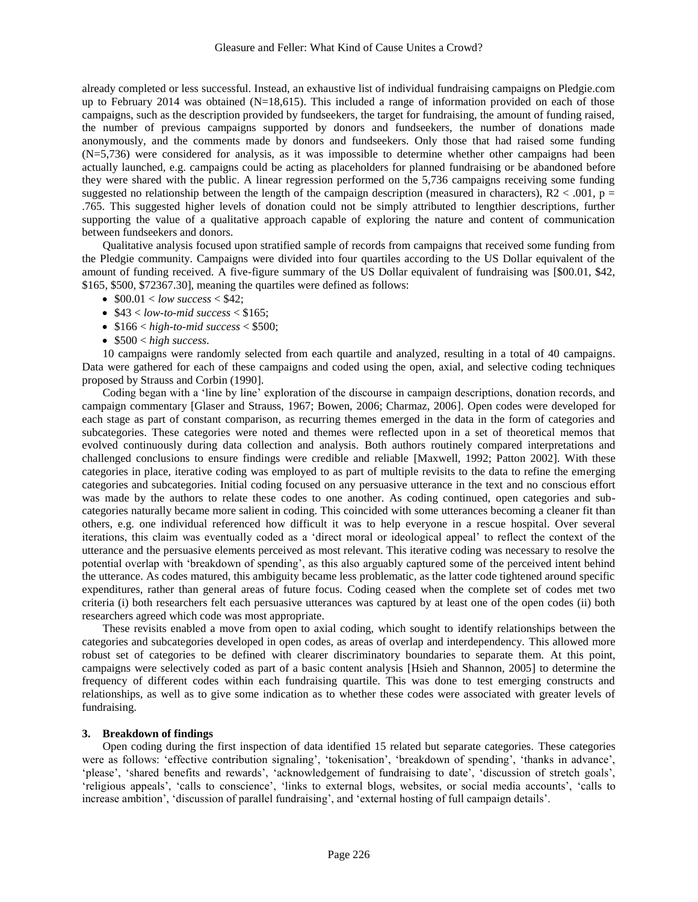already completed or less successful. Instead, an exhaustive list of individual fundraising campaigns on Pledgie.com up to February 2014 was obtained (N=18,615). This included a range of information provided on each of those campaigns, such as the description provided by fundseekers, the target for fundraising, the amount of funding raised, the number of previous campaigns supported by donors and fundseekers, the number of donations made anonymously, and the comments made by donors and fundseekers. Only those that had raised some funding (N=5,736) were considered for analysis, as it was impossible to determine whether other campaigns had been actually launched, e.g. campaigns could be acting as placeholders for planned fundraising or be abandoned before they were shared with the public. A linear regression performed on the 5,736 campaigns receiving some funding suggested no relationship between the length of the campaign description (measured in characters),  $R2 < .001$ ,  $p =$ .765. This suggested higher levels of donation could not be simply attributed to lengthier descriptions, further supporting the value of a qualitative approach capable of exploring the nature and content of communication between fundseekers and donors.

Qualitative analysis focused upon stratified sample of records from campaigns that received some funding from the Pledgie community. Campaigns were divided into four quartiles according to the US Dollar equivalent of the amount of funding received. A five-figure summary of the US Dollar equivalent of fundraising was [\$00.01, \$42, \$165, \$500, \$72367.30], meaning the quartiles were defined as follows:

- $\bullet$  \$00.01 < *low success* < \$42;
- $\bullet$  \$43 < *low-to-mid success* < \$165;
- \$166 < *high-to-mid success* < \$500;
- \$500 < *high success*.

10 campaigns were randomly selected from each quartile and analyzed, resulting in a total of 40 campaigns. Data were gathered for each of these campaigns and coded using the open, axial, and selective coding techniques proposed by Strauss and Corbin (1990].

Coding began with a 'line by line' exploration of the discourse in campaign descriptions, donation records, and campaign commentary [Glaser and Strauss, 1967; Bowen, 2006; Charmaz, 2006]. Open codes were developed for each stage as part of constant comparison, as recurring themes emerged in the data in the form of categories and subcategories. These categories were noted and themes were reflected upon in a set of theoretical memos that evolved continuously during data collection and analysis. Both authors routinely compared interpretations and challenged conclusions to ensure findings were credible and reliable [Maxwell, 1992; Patton 2002]. With these categories in place, iterative coding was employed to as part of multiple revisits to the data to refine the emerging categories and subcategories. Initial coding focused on any persuasive utterance in the text and no conscious effort was made by the authors to relate these codes to one another. As coding continued, open categories and subcategories naturally became more salient in coding. This coincided with some utterances becoming a cleaner fit than others, e.g. one individual referenced how difficult it was to help everyone in a rescue hospital. Over several iterations, this claim was eventually coded as a 'direct moral or ideological appeal' to reflect the context of the utterance and the persuasive elements perceived as most relevant. This iterative coding was necessary to resolve the potential overlap with 'breakdown of spending', as this also arguably captured some of the perceived intent behind the utterance. As codes matured, this ambiguity became less problematic, as the latter code tightened around specific expenditures, rather than general areas of future focus. Coding ceased when the complete set of codes met two criteria (i) both researchers felt each persuasive utterances was captured by at least one of the open codes (ii) both researchers agreed which code was most appropriate.

These revisits enabled a move from open to axial coding, which sought to identify relationships between the categories and subcategories developed in open codes, as areas of overlap and interdependency. This allowed more robust set of categories to be defined with clearer discriminatory boundaries to separate them. At this point, campaigns were selectively coded as part of a basic content analysis [Hsieh and Shannon, 2005] to determine the frequency of different codes within each fundraising quartile. This was done to test emerging constructs and relationships, as well as to give some indication as to whether these codes were associated with greater levels of fundraising.

#### **3. Breakdown of findings**

Open coding during the first inspection of data identified 15 related but separate categories. These categories were as follows: 'effective contribution signaling', 'tokenisation', 'breakdown of spending', 'thanks in advance', 'please', 'shared benefits and rewards', 'acknowledgement of fundraising to date', 'discussion of stretch goals', 'religious appeals', 'calls to conscience', 'links to external blogs, websites, or social media accounts', 'calls to increase ambition', 'discussion of parallel fundraising', and 'external hosting of full campaign details'.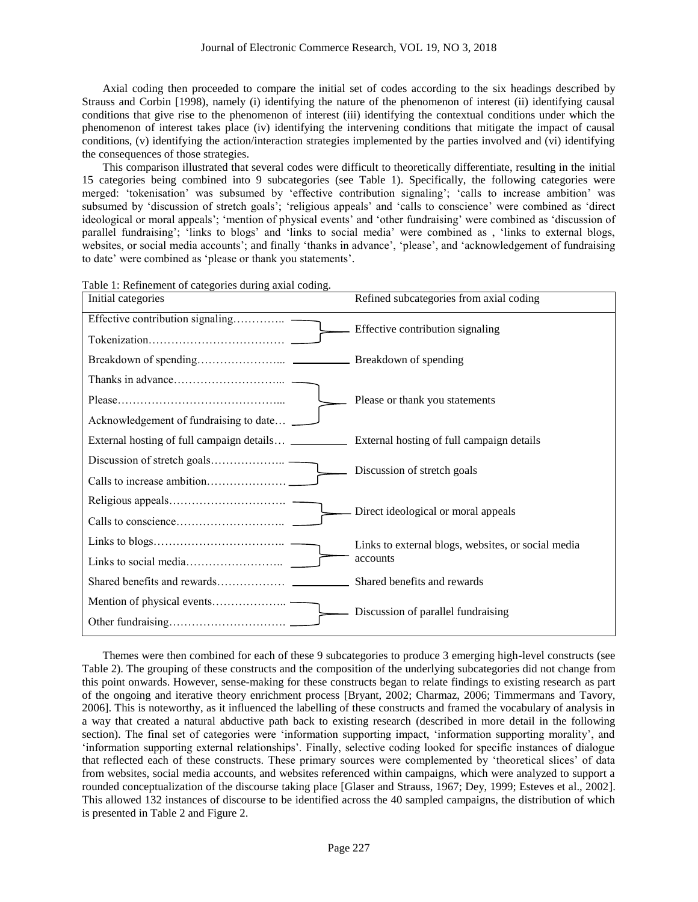Axial coding then proceeded to compare the initial set of codes according to the six headings described by Strauss and Corbin [1998), namely (i) identifying the nature of the phenomenon of interest (ii) identifying causal conditions that give rise to the phenomenon of interest (iii) identifying the contextual conditions under which the phenomenon of interest takes place (iv) identifying the intervening conditions that mitigate the impact of causal conditions, (v) identifying the action/interaction strategies implemented by the parties involved and (vi) identifying the consequences of those strategies.

This comparison illustrated that several codes were difficult to theoretically differentiate, resulting in the initial 15 categories being combined into 9 subcategories (see Table 1). Specifically, the following categories were merged: 'tokenisation' was subsumed by 'effective contribution signaling'; 'calls to increase ambition' was subsumed by 'discussion of stretch goals'; 'religious appeals' and 'calls to conscience' were combined as 'direct ideological or moral appeals'; 'mention of physical events' and 'other fundraising' were combined as 'discussion of parallel fundraising'; 'links to blogs' and 'links to social media' were combined as , 'links to external blogs, websites, or social media accounts'; and finally 'thanks in advance', 'please', and 'acknowledgement of fundraising to date' were combined as 'please or thank you statements'.

| Initial categories                                    | Refined subcategories from axial coding            |  |  |  |
|-------------------------------------------------------|----------------------------------------------------|--|--|--|
| Effective contribution signaling                      | Effective contribution signaling                   |  |  |  |
|                                                       |                                                    |  |  |  |
|                                                       |                                                    |  |  |  |
|                                                       |                                                    |  |  |  |
|                                                       | Please or thank you statements                     |  |  |  |
| Acknowledgement of fundraising to date                |                                                    |  |  |  |
| External hosting of full campaign details ___________ | External hosting of full campaign details          |  |  |  |
| Discussion of stretch goals                           |                                                    |  |  |  |
|                                                       | Discussion of stretch goals                        |  |  |  |
|                                                       | Direct ideological or moral appeals                |  |  |  |
|                                                       |                                                    |  |  |  |
|                                                       | Links to external blogs, websites, or social media |  |  |  |
|                                                       | accounts                                           |  |  |  |
|                                                       | Shared benefits and rewards                        |  |  |  |
|                                                       | Discussion of parallel fundraising                 |  |  |  |
|                                                       |                                                    |  |  |  |

Table 1: Refinement of categories during axial coding.

Themes were then combined for each of these 9 subcategories to produce 3 emerging high-level constructs (see Table 2). The grouping of these constructs and the composition of the underlying subcategories did not change from this point onwards. However, sense-making for these constructs began to relate findings to existing research as part of the ongoing and iterative theory enrichment process [Bryant, 2002; Charmaz, 2006; Timmermans and Tavory, 2006]. This is noteworthy, as it influenced the labelling of these constructs and framed the vocabulary of analysis in a way that created a natural abductive path back to existing research (described in more detail in the following section). The final set of categories were 'information supporting impact, 'information supporting morality', and 'information supporting external relationships'. Finally, selective coding looked for specific instances of dialogue that reflected each of these constructs. These primary sources were complemented by 'theoretical slices' of data from websites, social media accounts, and websites referenced within campaigns, which were analyzed to support a rounded conceptualization of the discourse taking place [Glaser and Strauss, 1967; Dey, 1999; Esteves et al., 2002]. This allowed 132 instances of discourse to be identified across the 40 sampled campaigns, the distribution of which is presented in Table 2 and Figure 2.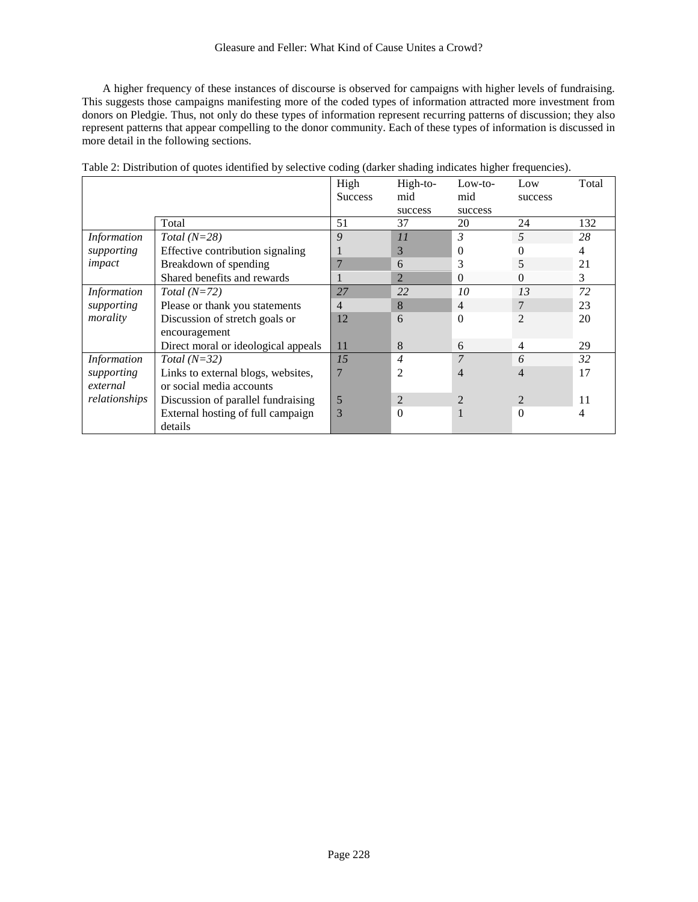A higher frequency of these instances of discourse is observed for campaigns with higher levels of fundraising. This suggests those campaigns manifesting more of the coded types of information attracted more investment from donors on Pledgie. Thus, not only do these types of information represent recurring patterns of discussion; they also represent patterns that appear compelling to the donor community. Each of these types of information is discussed in more detail in the following sections.

|                    |                                     | High<br><b>Success</b> | High-to-<br>mid | $Low-to-$<br>mid | Low<br>success | Total |
|--------------------|-------------------------------------|------------------------|-----------------|------------------|----------------|-------|
|                    |                                     |                        | success         | success          |                |       |
|                    | Total                               | 51                     | 37              | 20               | 24             | 132   |
| <b>Information</b> | Total $(N=28)$                      | 9                      | 11              | $\mathfrak{Z}$   | 5              | 28    |
| supporting         | Effective contribution signaling    |                        | 3               | 0                | 0              | 4     |
| impact             | Breakdown of spending               |                        | 6               | 3                | 5              | 21    |
|                    | Shared benefits and rewards         |                        | $\overline{2}$  | $\Omega$         | $\Omega$       | 3     |
| <b>Information</b> | Total $(N=72)$                      | 27                     | 22              | 10               | 13             | 72    |
| supporting         | Please or thank you statements      | 4                      | 8               | $\overline{4}$   | 7              | 23    |
| morality           | Discussion of stretch goals or      | 12                     | 6               | $\theta$         | $\overline{2}$ | 20    |
|                    | encouragement                       |                        |                 |                  |                |       |
|                    | Direct moral or ideological appeals | 11                     | 8               | 6                | $\overline{4}$ | 29    |
| <b>Information</b> | Total $(N=32)$                      | 15                     | $\overline{4}$  | $\overline{7}$   | 6              | 32    |
| supporting         | Links to external blogs, websites,  | 7                      | $\overline{2}$  | 4                | $\overline{4}$ | 17    |
| external           | or social media accounts            |                        |                 |                  |                |       |
| relationships      | Discussion of parallel fundraising  | 5                      | $\overline{2}$  | $\overline{2}$   | $\overline{2}$ | 11    |
|                    | External hosting of full campaign   | 3                      | $\theta$        |                  | $\theta$       | 4     |
|                    | details                             |                        |                 |                  |                |       |

Table 2: Distribution of quotes identified by selective coding (darker shading indicates higher frequencies).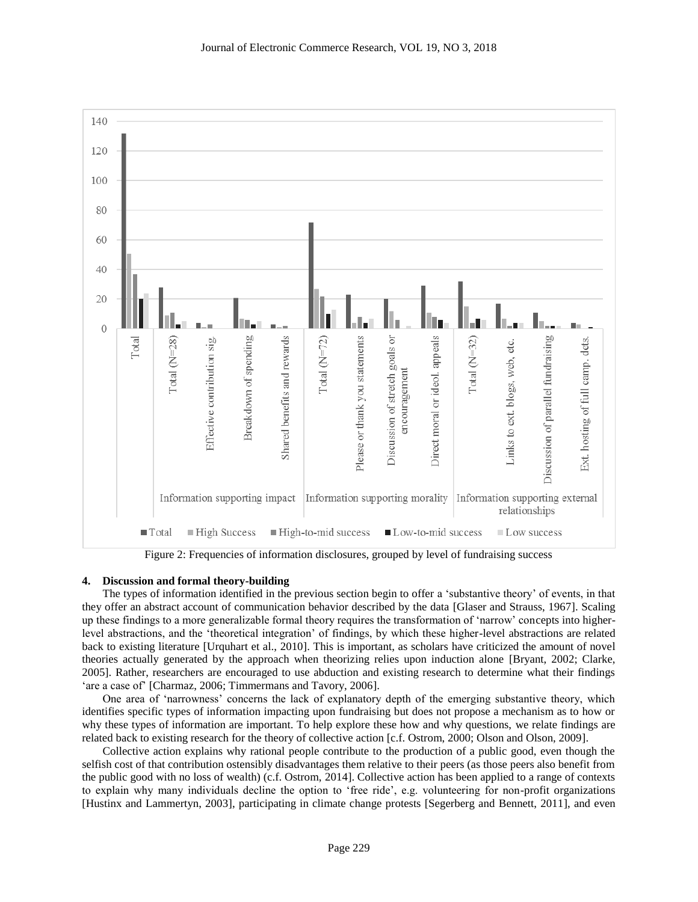

Figure 2: Frequencies of information disclosures, grouped by level of fundraising success

## **4. Discussion and formal theory-building**

The types of information identified in the previous section begin to offer a 'substantive theory' of events, in that they offer an abstract account of communication behavior described by the data [Glaser and Strauss, 1967]. Scaling up these findings to a more generalizable formal theory requires the transformation of 'narrow' concepts into higherlevel abstractions, and the 'theoretical integration' of findings, by which these higher-level abstractions are related back to existing literature [Urquhart et al., 2010]. This is important, as scholars have criticized the amount of novel theories actually generated by the approach when theorizing relies upon induction alone [Bryant, 2002; Clarke, 2005]. Rather, researchers are encouraged to use abduction and existing research to determine what their findings 'are a case of' [Charmaz, 2006; Timmermans and Tavory, 2006].

One area of 'narrowness' concerns the lack of explanatory depth of the emerging substantive theory, which identifies specific types of information impacting upon fundraising but does not propose a mechanism as to how or why these types of information are important. To help explore these how and why questions, we relate findings are related back to existing research for the theory of collective action [c.f. Ostrom, 2000; Olson and Olson, 2009].

Collective action explains why rational people contribute to the production of a public good, even though the selfish cost of that contribution ostensibly disadvantages them relative to their peers (as those peers also benefit from the public good with no loss of wealth) (c.f. Ostrom, 2014]. Collective action has been applied to a range of contexts to explain why many individuals decline the option to 'free ride', e.g. volunteering for non-profit organizations [Hustinx and Lammertyn, 2003], participating in climate change protests [Segerberg and Bennett, 2011], and even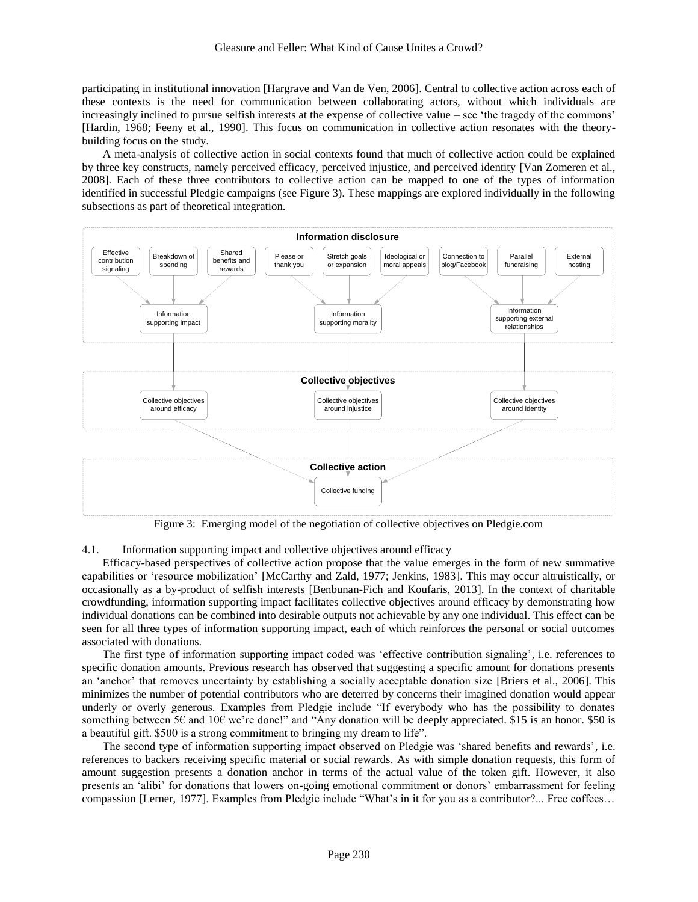participating in institutional innovation [Hargrave and Van de Ven, 2006]. Central to collective action across each of these contexts is the need for communication between collaborating actors, without which individuals are increasingly inclined to pursue selfish interests at the expense of collective value – see 'the tragedy of the commons' [Hardin, 1968; Feeny et al., 1990]. This focus on communication in collective action resonates with the theorybuilding focus on the study.

A meta-analysis of collective action in social contexts found that much of collective action could be explained by three key constructs, namely perceived efficacy, perceived injustice, and perceived identity [Van Zomeren et al., 2008]. Each of these three contributors to collective action can be mapped to one of the types of information identified in successful Pledgie campaigns (see Figure 3). These mappings are explored individually in the following subsections as part of theoretical integration.



Figure 3: Emerging model of the negotiation of collective objectives on Pledgie.com

4.1. Information supporting impact and collective objectives around efficacy

Efficacy-based perspectives of collective action propose that the value emerges in the form of new summative capabilities or 'resource mobilization' [McCarthy and Zald, 1977; Jenkins, 1983]. This may occur altruistically, or occasionally as a by-product of selfish interests [Benbunan-Fich and Koufaris, 2013]. In the context of charitable crowdfunding, information supporting impact facilitates collective objectives around efficacy by demonstrating how individual donations can be combined into desirable outputs not achievable by any one individual. This effect can be seen for all three types of information supporting impact, each of which reinforces the personal or social outcomes associated with donations.

The first type of information supporting impact coded was 'effective contribution signaling', i.e. references to specific donation amounts. Previous research has observed that suggesting a specific amount for donations presents an 'anchor' that removes uncertainty by establishing a socially acceptable donation size [Briers et al., 2006]. This minimizes the number of potential contributors who are deterred by concerns their imagined donation would appear underly or overly generous. Examples from Pledgie include "If everybody who has the possibility to donates something between 5€ and 10€ we're done!" and "Any donation will be deeply appreciated. \$15 is an honor. \$50 is a beautiful gift. \$500 is a strong commitment to bringing my dream to life".

The second type of information supporting impact observed on Pledgie was 'shared benefits and rewards', i.e. references to backers receiving specific material or social rewards. As with simple donation requests, this form of amount suggestion presents a donation anchor in terms of the actual value of the token gift. However, it also presents an 'alibi' for donations that lowers on-going emotional commitment or donors' embarrassment for feeling compassion [Lerner, 1977]. Examples from Pledgie include "What's in it for you as a contributor?... Free coffees…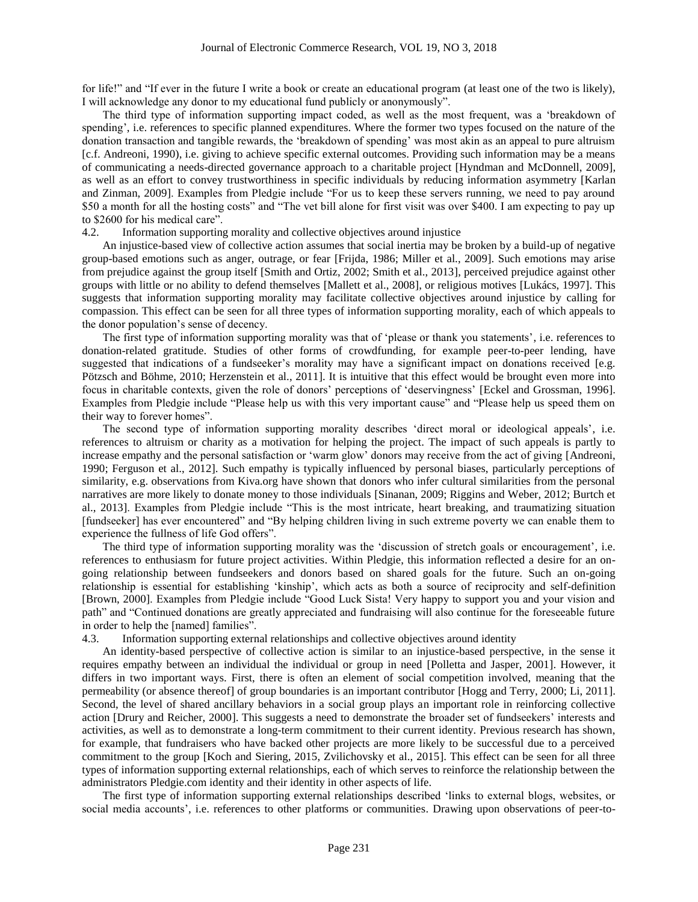for life!" and "If ever in the future I write a book or create an educational program (at least one of the two is likely), I will acknowledge any donor to my educational fund publicly or anonymously".

The third type of information supporting impact coded, as well as the most frequent, was a 'breakdown of spending', i.e. references to specific planned expenditures. Where the former two types focused on the nature of the donation transaction and tangible rewards, the 'breakdown of spending' was most akin as an appeal to pure altruism [c.f. Andreoni, 1990), i.e. giving to achieve specific external outcomes. Providing such information may be a means of communicating a needs-directed governance approach to a charitable project [Hyndman and McDonnell, 2009], as well as an effort to convey trustworthiness in specific individuals by reducing information asymmetry [Karlan and Zinman, 2009]. Examples from Pledgie include "For us to keep these servers running, we need to pay around \$50 a month for all the hosting costs" and "The vet bill alone for first visit was over \$400. I am expecting to pay up to \$2600 for his medical care".

### 4.2. Information supporting morality and collective objectives around injustice

An injustice-based view of collective action assumes that social inertia may be broken by a build-up of negative group-based emotions such as anger, outrage, or fear [Frijda, 1986; Miller et al., 2009]. Such emotions may arise from prejudice against the group itself [Smith and Ortiz, 2002; Smith et al., 2013], perceived prejudice against other groups with little or no ability to defend themselves [Mallett et al., 2008], or religious motives [Lukács, 1997]. This suggests that information supporting morality may facilitate collective objectives around injustice by calling for compassion. This effect can be seen for all three types of information supporting morality, each of which appeals to the donor population's sense of decency.

The first type of information supporting morality was that of 'please or thank you statements', i.e. references to donation-related gratitude. Studies of other forms of crowdfunding, for example peer-to-peer lending, have suggested that indications of a fundseeker's morality may have a significant impact on donations received [e.g. Pötzsch and Böhme, 2010; Herzenstein et al., 2011]. It is intuitive that this effect would be brought even more into focus in charitable contexts, given the role of donors' perceptions of 'deservingness' [Eckel and Grossman, 1996]. Examples from Pledgie include "Please help us with this very important cause" and "Please help us speed them on their way to forever homes".

The second type of information supporting morality describes 'direct moral or ideological appeals', i.e. references to altruism or charity as a motivation for helping the project. The impact of such appeals is partly to increase empathy and the personal satisfaction or 'warm glow' donors may receive from the act of giving [Andreoni, 1990; Ferguson et al., 2012]. Such empathy is typically influenced by personal biases, particularly perceptions of similarity, e.g. observations from Kiva.org have shown that donors who infer cultural similarities from the personal narratives are more likely to donate money to those individuals [Sinanan, 2009; Riggins and Weber, 2012; Burtch et al., 2013]. Examples from Pledgie include "This is the most intricate, heart breaking, and traumatizing situation [fundseeker] has ever encountered" and "By helping children living in such extreme poverty we can enable them to experience the fullness of life God offers".

The third type of information supporting morality was the 'discussion of stretch goals or encouragement', i.e. references to enthusiasm for future project activities. Within Pledgie, this information reflected a desire for an ongoing relationship between fundseekers and donors based on shared goals for the future. Such an on-going relationship is essential for establishing 'kinship', which acts as both a source of reciprocity and self-definition [Brown, 2000]. Examples from Pledgie include "Good Luck Sista! Very happy to support you and your vision and path" and "Continued donations are greatly appreciated and fundraising will also continue for the foreseeable future in order to help the [named] families".

4.3. Information supporting external relationships and collective objectives around identity

An identity-based perspective of collective action is similar to an injustice-based perspective, in the sense it requires empathy between an individual the individual or group in need [Polletta and Jasper, 2001]. However, it differs in two important ways. First, there is often an element of social competition involved, meaning that the permeability (or absence thereof] of group boundaries is an important contributor [Hogg and Terry, 2000; Li, 2011]. Second, the level of shared ancillary behaviors in a social group plays an important role in reinforcing collective action [Drury and Reicher, 2000]. This suggests a need to demonstrate the broader set of fundseekers' interests and activities, as well as to demonstrate a long-term commitment to their current identity. Previous research has shown, for example, that fundraisers who have backed other projects are more likely to be successful due to a perceived commitment to the group [Koch and Siering, 2015, Zvilichovsky et al., 2015]. This effect can be seen for all three types of information supporting external relationships, each of which serves to reinforce the relationship between the administrators Pledgie.com identity and their identity in other aspects of life.

The first type of information supporting external relationships described 'links to external blogs, websites, or social media accounts', i.e. references to other platforms or communities. Drawing upon observations of peer-to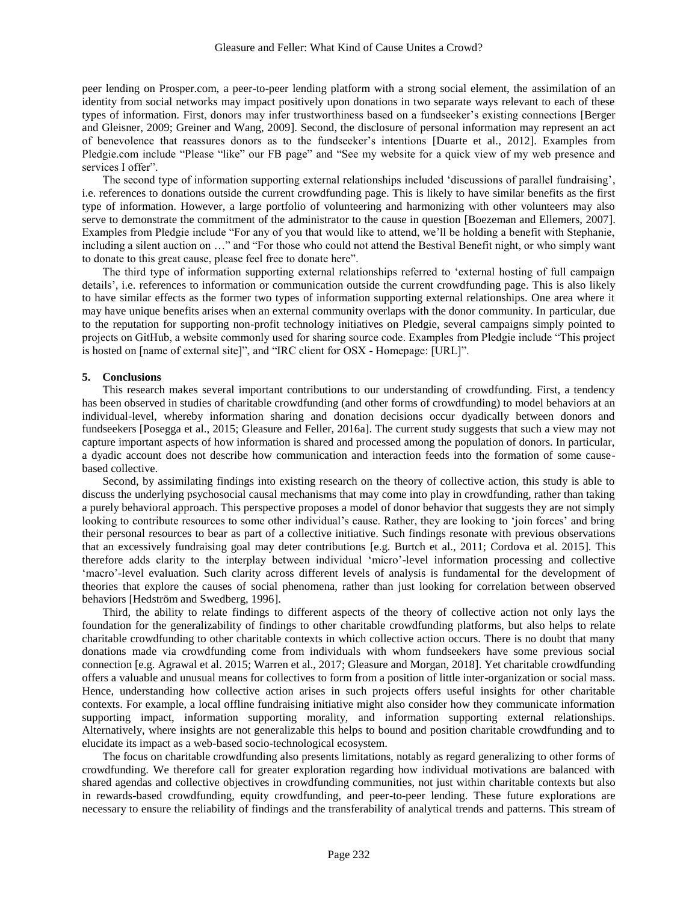peer lending on Prosper.com, a peer-to-peer lending platform with a strong social element, the assimilation of an identity from social networks may impact positively upon donations in two separate ways relevant to each of these types of information. First, donors may infer trustworthiness based on a fundseeker's existing connections [Berger and Gleisner, 2009; Greiner and Wang, 2009]. Second, the disclosure of personal information may represent an act of benevolence that reassures donors as to the fundseeker's intentions [Duarte et al., 2012]. Examples from Pledgie.com include "Please "like" our FB page" and "See my website for a quick view of my web presence and services I offer".

The second type of information supporting external relationships included 'discussions of parallel fundraising', i.e. references to donations outside the current crowdfunding page. This is likely to have similar benefits as the first type of information. However, a large portfolio of volunteering and harmonizing with other volunteers may also serve to demonstrate the commitment of the administrator to the cause in question [Boezeman and Ellemers, 2007]. Examples from Pledgie include "For any of you that would like to attend, we'll be holding a benefit with Stephanie, including a silent auction on …" and "For those who could not attend the Bestival Benefit night, or who simply want to donate to this great cause, please feel free to donate here".

The third type of information supporting external relationships referred to 'external hosting of full campaign details', i.e. references to information or communication outside the current crowdfunding page. This is also likely to have similar effects as the former two types of information supporting external relationships. One area where it may have unique benefits arises when an external community overlaps with the donor community. In particular, due to the reputation for supporting non-profit technology initiatives on Pledgie, several campaigns simply pointed to projects on GitHub, a website commonly used for sharing source code. Examples from Pledgie include "This project is hosted on [name of external site]", and "IRC client for OSX - Homepage: [URL]".

#### **5. Conclusions**

This research makes several important contributions to our understanding of crowdfunding. First, a tendency has been observed in studies of charitable crowdfunding (and other forms of crowdfunding) to model behaviors at an individual-level, whereby information sharing and donation decisions occur dyadically between donors and fundseekers [Posegga et al., 2015; Gleasure and Feller, 2016a]. The current study suggests that such a view may not capture important aspects of how information is shared and processed among the population of donors. In particular, a dyadic account does not describe how communication and interaction feeds into the formation of some causebased collective.

Second, by assimilating findings into existing research on the theory of collective action, this study is able to discuss the underlying psychosocial causal mechanisms that may come into play in crowdfunding, rather than taking a purely behavioral approach. This perspective proposes a model of donor behavior that suggests they are not simply looking to contribute resources to some other individual's cause. Rather, they are looking to 'join forces' and bring their personal resources to bear as part of a collective initiative. Such findings resonate with previous observations that an excessively fundraising goal may deter contributions [e.g. Burtch et al., 2011; Cordova et al. 2015]. This therefore adds clarity to the interplay between individual 'micro'-level information processing and collective 'macro'-level evaluation. Such clarity across different levels of analysis is fundamental for the development of theories that explore the causes of social phenomena, rather than just looking for correlation between observed behaviors [Hedström and Swedberg, 1996].

Third, the ability to relate findings to different aspects of the theory of collective action not only lays the foundation for the generalizability of findings to other charitable crowdfunding platforms, but also helps to relate charitable crowdfunding to other charitable contexts in which collective action occurs. There is no doubt that many donations made via crowdfunding come from individuals with whom fundseekers have some previous social connection [e.g. Agrawal et al. 2015; Warren et al., 2017; Gleasure and Morgan, 2018]. Yet charitable crowdfunding offers a valuable and unusual means for collectives to form from a position of little inter-organization or social mass. Hence, understanding how collective action arises in such projects offers useful insights for other charitable contexts. For example, a local offline fundraising initiative might also consider how they communicate information supporting impact, information supporting morality, and information supporting external relationships. Alternatively, where insights are not generalizable this helps to bound and position charitable crowdfunding and to elucidate its impact as a web-based socio-technological ecosystem.

The focus on charitable crowdfunding also presents limitations, notably as regard generalizing to other forms of crowdfunding. We therefore call for greater exploration regarding how individual motivations are balanced with shared agendas and collective objectives in crowdfunding communities, not just within charitable contexts but also in rewards-based crowdfunding, equity crowdfunding, and peer-to-peer lending. These future explorations are necessary to ensure the reliability of findings and the transferability of analytical trends and patterns. This stream of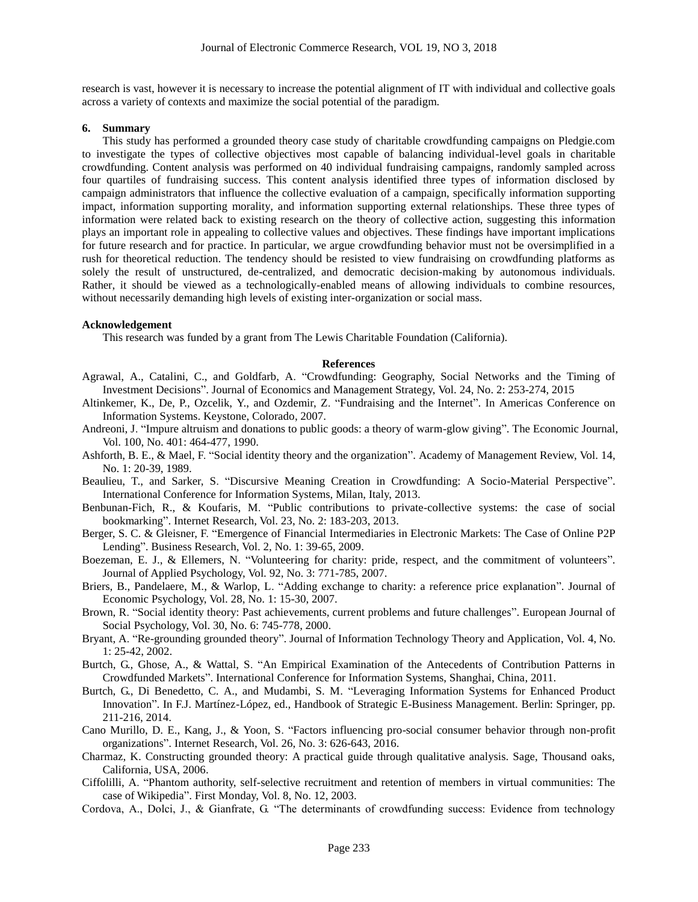research is vast, however it is necessary to increase the potential alignment of IT with individual and collective goals across a variety of contexts and maximize the social potential of the paradigm.

#### **6. Summary**

This study has performed a grounded theory case study of charitable crowdfunding campaigns on Pledgie.com to investigate the types of collective objectives most capable of balancing individual-level goals in charitable crowdfunding. Content analysis was performed on 40 individual fundraising campaigns, randomly sampled across four quartiles of fundraising success. This content analysis identified three types of information disclosed by campaign administrators that influence the collective evaluation of a campaign, specifically information supporting impact, information supporting morality, and information supporting external relationships. These three types of information were related back to existing research on the theory of collective action, suggesting this information plays an important role in appealing to collective values and objectives. These findings have important implications for future research and for practice. In particular, we argue crowdfunding behavior must not be oversimplified in a rush for theoretical reduction. The tendency should be resisted to view fundraising on crowdfunding platforms as solely the result of unstructured, de-centralized, and democratic decision-making by autonomous individuals. Rather, it should be viewed as a technologically-enabled means of allowing individuals to combine resources, without necessarily demanding high levels of existing inter-organization or social mass.

#### **Acknowledgement**

This research was funded by a grant from The Lewis Charitable Foundation (California).

#### **References**

- Agrawal, A., Catalini, C., and Goldfarb, A. "Crowdfunding: Geography, Social Networks and the Timing of Investment Decisions". Journal of Economics and Management Strategy, Vol. 24, No. 2: 253-274, 2015
- Altinkemer, K., De, P., Ozcelik, Y., and Ozdemir, Z. "Fundraising and the Internet". In Americas Conference on Information Systems. Keystone, Colorado, 2007.
- Andreoni, J. "Impure altruism and donations to public goods: a theory of warm-glow giving". The Economic Journal, Vol. 100, No. 401: 464-477, 1990.
- Ashforth, B. E., & Mael, F. "Social identity theory and the organization". Academy of Management Review, Vol. 14, No. 1: 20-39, 1989.
- Beaulieu, T., and Sarker, S. "Discursive Meaning Creation in Crowdfunding: A Socio-Material Perspective". International Conference for Information Systems, Milan, Italy, 2013.
- Benbunan-Fich, R., & Koufaris, M. "Public contributions to private-collective systems: the case of social bookmarking". Internet Research, Vol. 23, No. 2: 183-203, 2013.
- Berger, S. C. & Gleisner, F. "Emergence of Financial Intermediaries in Electronic Markets: The Case of Online P2P Lending". Business Research, Vol. 2, No. 1: 39-65, 2009.
- Boezeman, E. J., & Ellemers, N. "Volunteering for charity: pride, respect, and the commitment of volunteers". Journal of Applied Psychology, Vol. 92, No. 3: 771-785, 2007.
- Briers, B., Pandelaere, M., & Warlop, L. "Adding exchange to charity: a reference price explanation". Journal of Economic Psychology, Vol. 28, No. 1: 15-30, 2007.
- Brown, R. "Social identity theory: Past achievements, current problems and future challenges". European Journal of Social Psychology, Vol. 30, No. 6: 745-778, 2000.
- Bryant, A. "Re-grounding grounded theory". Journal of Information Technology Theory and Application, Vol. 4, No. 1: 25-42, 2002.
- Burtch, G., Ghose, A., & Wattal, S. "An Empirical Examination of the Antecedents of Contribution Patterns in Crowdfunded Markets". International Conference for Information Systems, Shanghai, China, 2011.
- Burtch, G., Di Benedetto, C. A., and Mudambi, S. M. "Leveraging Information Systems for Enhanced Product Innovation". In F.J. Martínez-López, ed., Handbook of Strategic E-Business Management. Berlin: Springer, pp. 211-216, 2014.
- Cano Murillo, D. E., Kang, J., & Yoon, S. "Factors influencing pro-social consumer behavior through non-profit organizations". Internet Research, Vol. 26, No. 3: 626-643, 2016.
- Charmaz, K. Constructing grounded theory: A practical guide through qualitative analysis. Sage, Thousand oaks, California, USA, 2006.
- Ciffolilli, A. "Phantom authority, self-selective recruitment and retention of members in virtual communities: The case of Wikipedia". First Monday, Vol. 8, No. 12, 2003.
- Cordova, A., Dolci, J., & Gianfrate, G. "The determinants of crowdfunding success: Evidence from technology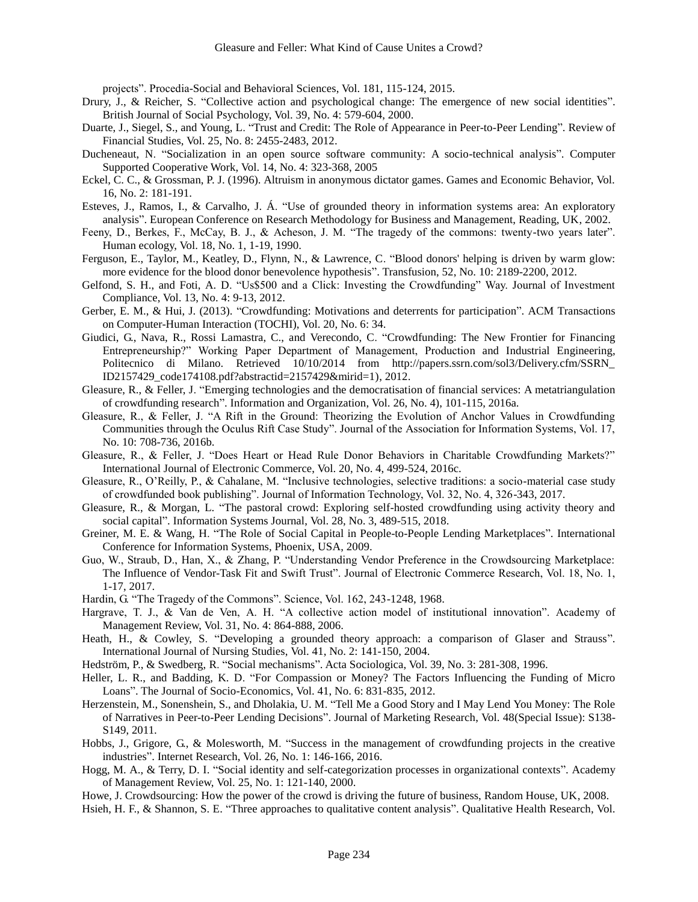projects". Procedia-Social and Behavioral Sciences, Vol. 181, 115-124, 2015.

- Drury, J., & Reicher, S. "Collective action and psychological change: The emergence of new social identities". British Journal of Social Psychology, Vol. 39, No. 4: 579-604, 2000.
- Duarte, J., Siegel, S., and Young, L. "Trust and Credit: The Role of Appearance in Peer-to-Peer Lending". Review of Financial Studies, Vol. 25, No. 8: 2455-2483, 2012.
- Ducheneaut, N. "Socialization in an open source software community: A socio-technical analysis". Computer Supported Cooperative Work, Vol. 14, No. 4: 323-368, 2005
- Eckel, C. C., & Grossman, P. J. (1996). Altruism in anonymous dictator games. Games and Economic Behavior, Vol. 16, No. 2: 181-191.
- Esteves, J., Ramos, I., & Carvalho, J. Á. "Use of grounded theory in information systems area: An exploratory analysis". European Conference on Research Methodology for Business and Management, Reading, UK, 2002.
- Feeny, D., Berkes, F., McCay, B. J., & Acheson, J. M. "The tragedy of the commons: twenty-two years later". Human ecology, Vol. 18, No. 1, 1-19, 1990.
- Ferguson, E., Taylor, M., Keatley, D., Flynn, N., & Lawrence, C. "Blood donors' helping is driven by warm glow: more evidence for the blood donor benevolence hypothesis". Transfusion, 52, No. 10: 2189-2200, 2012.
- Gelfond, S. H., and Foti, A. D. "Us\$500 and a Click: Investing the Crowdfunding" Way. Journal of Investment Compliance, Vol. 13, No. 4: 9-13, 2012.
- Gerber, E. M., & Hui, J. (2013). "Crowdfunding: Motivations and deterrents for participation". ACM Transactions on Computer-Human Interaction (TOCHI), Vol. 20, No. 6: 34.
- Giudici, G., Nava, R., Rossi Lamastra, C., and Verecondo, C. "Crowdfunding: The New Frontier for Financing Entrepreneurship?" Working Paper Department of Management, Production and Industrial Engineering, Politecnico di Milano. Retrieved 10/10/2014 from http://papers.ssrn.com/sol3/Delivery.cfm/SSRN\_ ID2157429\_code174108.pdf?abstractid=2157429&mirid=1), 2012.
- Gleasure, R., & Feller, J. "Emerging technologies and the democratisation of financial services: A metatriangulation of crowdfunding research". Information and Organization, Vol. 26, No. 4), 101-115, 2016a.
- Gleasure, R., & Feller, J. "A Rift in the Ground: Theorizing the Evolution of Anchor Values in Crowdfunding Communities through the Oculus Rift Case Study". Journal of the Association for Information Systems, Vol. 17, No. 10: 708-736, 2016b.
- Gleasure, R., & Feller, J. "Does Heart or Head Rule Donor Behaviors in Charitable Crowdfunding Markets?" International Journal of Electronic Commerce, Vol. 20, No. 4, 499-524, 2016c.
- Gleasure, R., O'Reilly, P., & Cahalane, M. "Inclusive technologies, selective traditions: a socio-material case study of crowdfunded book publishing". Journal of Information Technology, Vol. 32, No. 4, 326-343, 2017.
- Gleasure, R., & Morgan, L. "The pastoral crowd: Exploring self-hosted crowdfunding using activity theory and social capital". Information Systems Journal, Vol. 28, No. 3, 489-515, 2018.
- Greiner, M. E. & Wang, H. "The Role of Social Capital in People-to-People Lending Marketplaces". International Conference for Information Systems, Phoenix, USA, 2009.
- Guo, W., Straub, D., Han, X., & Zhang, P. "Understanding Vendor Preference in the Crowdsourcing Marketplace: The Influence of Vendor-Task Fit and Swift Trust". Journal of Electronic Commerce Research, Vol. 18, No. 1, 1-17, 2017.
- Hardin, G. "The Tragedy of the Commons". Science, Vol. 162, 243-1248, 1968.
- Hargrave, T. J., & Van de Ven, A. H. "A collective action model of institutional innovation". Academy of Management Review, Vol. 31, No. 4: 864-888, 2006.
- Heath, H., & Cowley, S. "Developing a grounded theory approach: a comparison of Glaser and Strauss". International Journal of Nursing Studies, Vol. 41, No. 2: 141-150, 2004.
- Hedström, P., & Swedberg, R. "Social mechanisms". Acta Sociologica, Vol. 39, No. 3: 281-308, 1996.
- Heller, L. R., and Badding, K. D. "For Compassion or Money? The Factors Influencing the Funding of Micro Loans". The Journal of Socio-Economics, Vol. 41, No. 6: 831-835, 2012.
- Herzenstein, M., Sonenshein, S., and Dholakia, U. M. "Tell Me a Good Story and I May Lend You Money: The Role of Narratives in Peer-to-Peer Lending Decisions". Journal of Marketing Research, Vol. 48(Special Issue): S138- S149, 2011.
- Hobbs, J., Grigore, G., & Molesworth, M. "Success in the management of crowdfunding projects in the creative industries". Internet Research, Vol. 26, No. 1: 146-166, 2016.
- Hogg, M. A., & Terry, D. I. "Social identity and self-categorization processes in organizational contexts". Academy of Management Review, Vol. 25, No. 1: 121-140, 2000.
- Howe, J. Crowdsourcing: How the power of the crowd is driving the future of business, Random House, UK, 2008.
- Hsieh, H. F., & Shannon, S. E. "Three approaches to qualitative content analysis". Qualitative Health Research, Vol.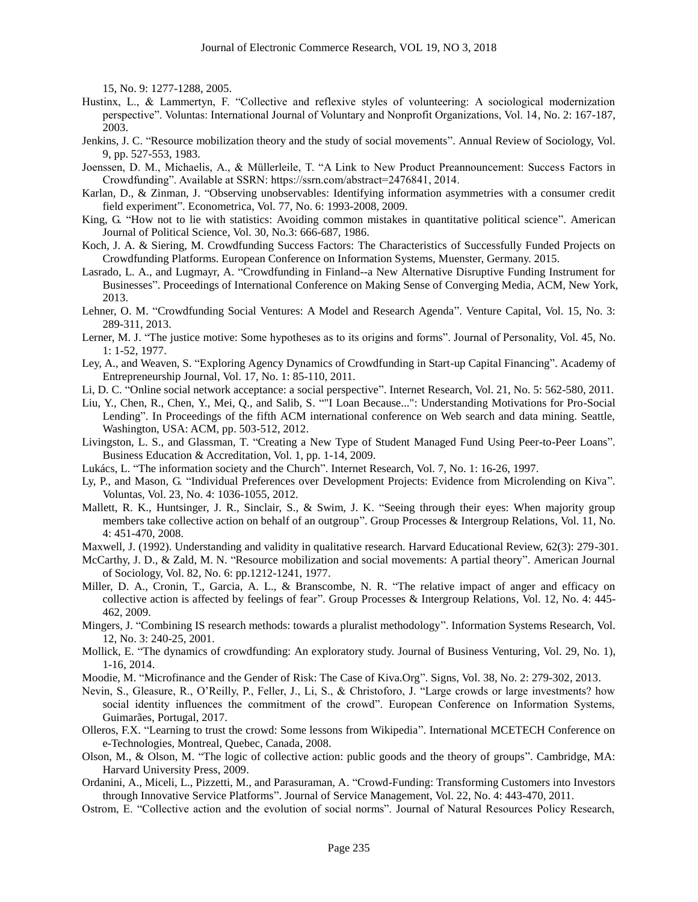15, No. 9: 1277-1288, 2005.

- Hustinx, L., & Lammertyn, F. "Collective and reflexive styles of volunteering: A sociological modernization perspective". Voluntas: International Journal of Voluntary and Nonprofit Organizations, Vol. 14, No. 2: 167-187, 2003.
- Jenkins, J. C. "Resource mobilization theory and the study of social movements". Annual Review of Sociology, Vol. 9, pp. 527-553, 1983.
- Joenssen, D. M., Michaelis, A., & Müllerleile, T. "A Link to New Product Preannouncement: Success Factors in Crowdfunding". Available at SSRN: https://ssrn.com/abstract=2476841, 2014.
- Karlan, D., & Zinman, J. "Observing unobservables: Identifying information asymmetries with a consumer credit field experiment". Econometrica, Vol. 77, No. 6: 1993-2008, 2009.
- King, G. "How not to lie with statistics: Avoiding common mistakes in quantitative political science". American Journal of Political Science, Vol. 30, No.3: 666-687, 1986.
- Koch, J. A. & Siering, M. Crowdfunding Success Factors: The Characteristics of Successfully Funded Projects on Crowdfunding Platforms. European Conference on Information Systems, Muenster, Germany. 2015.
- Lasrado, L. A., and Lugmayr, A. "Crowdfunding in Finland--a New Alternative Disruptive Funding Instrument for Businesses". Proceedings of International Conference on Making Sense of Converging Media, ACM, New York, 2013.
- Lehner, O. M. "Crowdfunding Social Ventures: A Model and Research Agenda". Venture Capital, Vol. 15, No. 3: 289-311, 2013.
- Lerner, M. J. "The justice motive: Some hypotheses as to its origins and forms". Journal of Personality, Vol. 45, No. 1: 1-52, 1977.
- Ley, A., and Weaven, S. "Exploring Agency Dynamics of Crowdfunding in Start-up Capital Financing". Academy of Entrepreneurship Journal, Vol. 17, No. 1: 85-110, 2011.
- Li, D. C. "Online social network acceptance: a social perspective". Internet Research, Vol. 21, No. 5: 562-580, 2011.
- Liu, Y., Chen, R., Chen, Y., Mei, Q., and Salib, S. ""I Loan Because...": Understanding Motivations for Pro-Social Lending". In Proceedings of the fifth ACM international conference on Web search and data mining. Seattle, Washington, USA: ACM, pp. 503-512, 2012.
- Livingston, L. S., and Glassman, T. "Creating a New Type of Student Managed Fund Using Peer-to-Peer Loans". Business Education & Accreditation, Vol. 1, pp. 1-14, 2009.
- Lukács, L. "The information society and the Church". Internet Research, Vol. 7, No. 1: 16-26, 1997.
- Ly, P., and Mason, G. "Individual Preferences over Development Projects: Evidence from Microlending on Kiva". Voluntas, Vol. 23, No. 4: 1036-1055, 2012.
- Mallett, R. K., Huntsinger, J. R., Sinclair, S., & Swim, J. K. "Seeing through their eyes: When majority group members take collective action on behalf of an outgroup". Group Processes & Intergroup Relations, Vol. 11, No. 4: 451-470, 2008.
- Maxwell, J. (1992). Understanding and validity in qualitative research. Harvard Educational Review, 62(3): 279-301.
- McCarthy, J. D., & Zald, M. N. "Resource mobilization and social movements: A partial theory". American Journal of Sociology, Vol. 82, No. 6: pp.1212-1241, 1977.
- Miller, D. A., Cronin, T., Garcia, A. L., & Branscombe, N. R. "The relative impact of anger and efficacy on collective action is affected by feelings of fear". Group Processes & Intergroup Relations, Vol. 12, No. 4: 445- 462, 2009.
- Mingers, J. "Combining IS research methods: towards a pluralist methodology". Information Systems Research, Vol. 12, No. 3: 240-25, 2001.
- Mollick, E. "The dynamics of crowdfunding: An exploratory study. Journal of Business Venturing, Vol. 29, No. 1), 1-16, 2014.
- Moodie, M. "Microfinance and the Gender of Risk: The Case of Kiva.Org". Signs, Vol. 38, No. 2: 279-302, 2013.
- Nevin, S., Gleasure, R., O'Reilly, P., Feller, J., Li, S., & Christoforo, J. "Large crowds or large investments? how social identity influences the commitment of the crowd". European Conference on Information Systems, Guimarães, Portugal, 2017.
- Olleros, F.X. "Learning to trust the crowd: Some lessons from Wikipedia". International MCETECH Conference on e-Technologies, Montreal, Quebec, Canada, 2008.
- Olson, M., & Olson, M. "The logic of collective action: public goods and the theory of groups". Cambridge, MA: Harvard University Press, 2009.
- Ordanini, A., Miceli, L., Pizzetti, M., and Parasuraman, A. "Crowd-Funding: Transforming Customers into Investors through Innovative Service Platforms". Journal of Service Management, Vol. 22, No. 4: 443-470, 2011.
- Ostrom, E. "Collective action and the evolution of social norms". Journal of Natural Resources Policy Research,